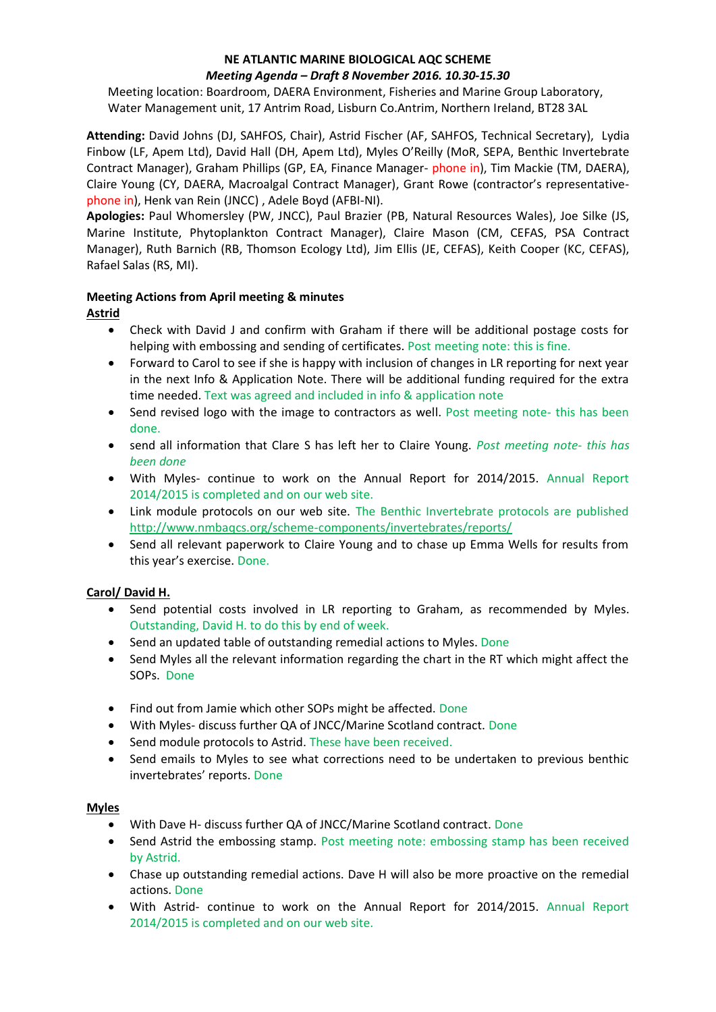## **NE ATLANTIC MARINE BIOLOGICAL AQC SCHEME**  *Meeting Agenda – Draft 8 November 2016. 10.30-15.30*

Meeting location: Boardroom, DAERA Environment, Fisheries and Marine Group Laboratory, Water Management unit, 17 Antrim Road, Lisburn Co.Antrim, Northern Ireland, BT28 3AL

**Attending:** David Johns (DJ, SAHFOS, Chair), Astrid Fischer (AF, SAHFOS, Technical Secretary), Lydia Finbow (LF, Apem Ltd), David Hall (DH, Apem Ltd), Myles O'Reilly (MoR, SEPA, Benthic Invertebrate Contract Manager), Graham Phillips (GP, EA, Finance Manager- phone in), Tim Mackie (TM, DAERA), Claire Young (CY, DAERA, Macroalgal Contract Manager), Grant Rowe (contractor's representativephone in), Henk van Rein (JNCC) , Adele Boyd (AFBI-NI).

**Apologies:** Paul Whomersley (PW, JNCC), Paul Brazier (PB, Natural Resources Wales), Joe Silke (JS, Marine Institute, Phytoplankton Contract Manager), Claire Mason (CM, CEFAS, PSA Contract Manager), Ruth Barnich (RB, Thomson Ecology Ltd), Jim Ellis (JE, CEFAS), Keith Cooper (KC, CEFAS), Rafael Salas (RS, MI).

# **Meeting Actions from April meeting & minutes**

# **Astrid**

- Check with David J and confirm with Graham if there will be additional postage costs for helping with embossing and sending of certificates. Post meeting note: this is fine.
- Forward to Carol to see if she is happy with inclusion of changes in LR reporting for next year in the next Info & Application Note. There will be additional funding required for the extra time needed. Text was agreed and included in info & application note
- Send revised logo with the image to contractors as well. Post meeting note- this has been done.
- send all information that Clare S has left her to Claire Young. *Post meeting note- this has been done*
- With Myles- continue to work on the Annual Report for 2014/2015. Annual Report 2014/2015 is completed and on our web site.
- Link module protocols on our web site. The Benthic Invertebrate protocols are published <http://www.nmbaqcs.org/scheme-components/invertebrates/reports/>
- Send all relevant paperwork to Claire Young and to chase up Emma Wells for results from this year's exercise. Done.

# **Carol/ David H.**

- Send potential costs involved in LR reporting to Graham, as recommended by Myles. Outstanding, David H. to do this by end of week.
- Send an updated table of outstanding remedial actions to Myles. Done
- Send Myles all the relevant information regarding the chart in the RT which might affect the SOPs. Done
- Find out from Jamie which other SOPs might be affected. Done
- With Myles- discuss further QA of JNCC/Marine Scotland contract. Done
- Send module protocols to Astrid. These have been received.
- Send emails to Myles to see what corrections need to be undertaken to previous benthic invertebrates' reports. Done

# **Myles**

- With Dave H- discuss further QA of JNCC/Marine Scotland contract. Done
- Send Astrid the embossing stamp. Post meeting note: embossing stamp has been received by Astrid.
- Chase up outstanding remedial actions. Dave H will also be more proactive on the remedial actions. Done
- With Astrid- continue to work on the Annual Report for 2014/2015. Annual Report 2014/2015 is completed and on our web site.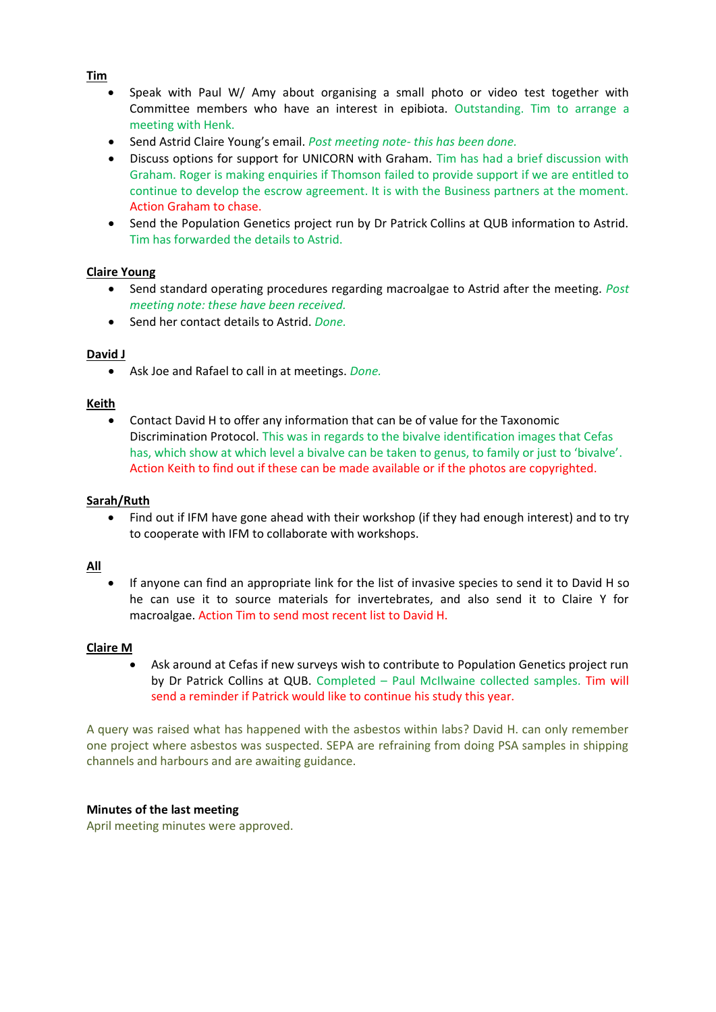## **Tim**

- Speak with Paul W/ Amy about organising a small photo or video test together with Committee members who have an interest in epibiota. Outstanding. Tim to arrange a meeting with Henk.
- Send Astrid Claire Young's email. *Post meeting note- this has been done.*
- Discuss options for support for UNICORN with Graham. Tim has had a brief discussion with Graham. Roger is making enquiries if Thomson failed to provide support if we are entitled to continue to develop the escrow agreement. It is with the Business partners at the moment. Action Graham to chase.
- Send the Population Genetics project run by Dr Patrick Collins at QUB information to Astrid. Tim has forwarded the details to Astrid.

## **Claire Young**

- Send standard operating procedures regarding macroalgae to Astrid after the meeting. *Post meeting note: these have been received.*
- Send her contact details to Astrid. *Done.*

### **David J**

• Ask Joe and Rafael to call in at meetings. *Done.*

### **Keith**

• Contact David H to offer any information that can be of value for the Taxonomic Discrimination Protocol. This was in regards to the bivalve identification images that Cefas has, which show at which level a bivalve can be taken to genus, to family or just to 'bivalve'. Action Keith to find out if these can be made available or if the photos are copyrighted.

### **Sarah/Ruth**

• Find out if IFM have gone ahead with their workshop (if they had enough interest) and to try to cooperate with IFM to collaborate with workshops.

### **All**

• If anyone can find an appropriate link for the list of invasive species to send it to David H so he can use it to source materials for invertebrates, and also send it to Claire Y for macroalgae. Action Tim to send most recent list to David H.

### **Claire M**

• Ask around at Cefas if new surveys wish to contribute to Population Genetics project run by Dr Patrick Collins at QUB. Completed – Paul McIlwaine collected samples. Tim will send a reminder if Patrick would like to continue his study this year.

A query was raised what has happened with the asbestos within labs? David H. can only remember one project where asbestos was suspected. SEPA are refraining from doing PSA samples in shipping channels and harbours and are awaiting guidance.

### **Minutes of the last meeting**

April meeting minutes were approved.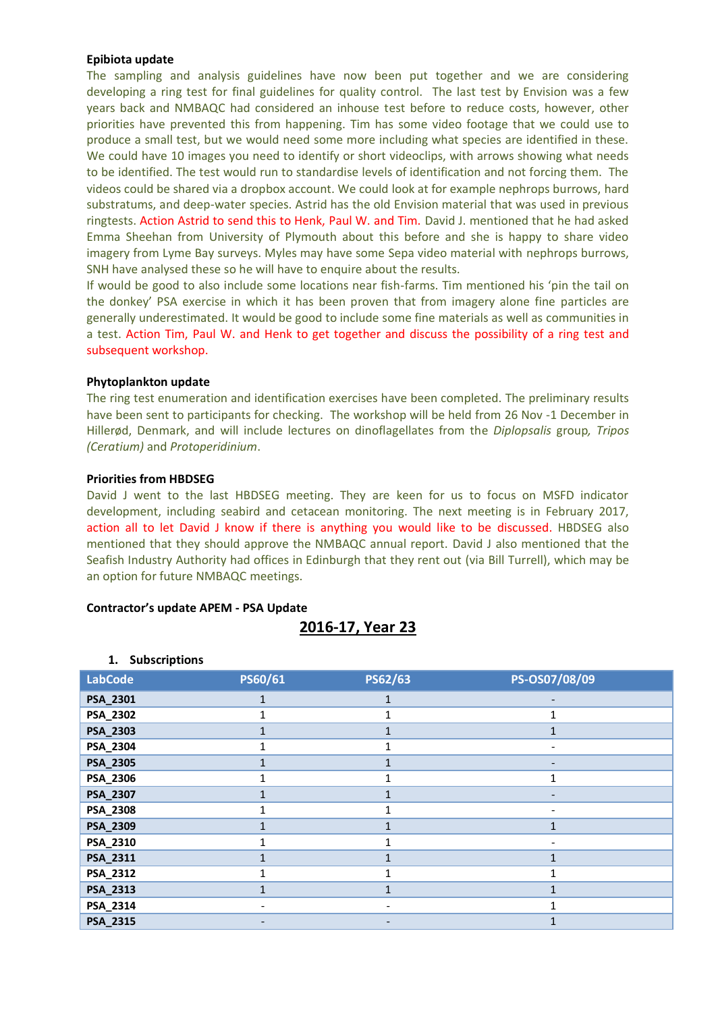### **Epibiota update**

The sampling and analysis guidelines have now been put together and we are considering developing a ring test for final guidelines for quality control. The last test by Envision was a few years back and NMBAQC had considered an inhouse test before to reduce costs, however, other priorities have prevented this from happening. Tim has some video footage that we could use to produce a small test, but we would need some more including what species are identified in these. We could have 10 images you need to identify or short videoclips, with arrows showing what needs to be identified. The test would run to standardise levels of identification and not forcing them. The videos could be shared via a dropbox account. We could look at for example nephrops burrows, hard substratums, and deep-water species. Astrid has the old Envision material that was used in previous ringtests. Action Astrid to send this to Henk, Paul W. and Tim. David J. mentioned that he had asked Emma Sheehan from University of Plymouth about this before and she is happy to share video imagery from Lyme Bay surveys. Myles may have some Sepa video material with nephrops burrows, SNH have analysed these so he will have to enquire about the results.

If would be good to also include some locations near fish-farms. Tim mentioned his 'pin the tail on the donkey' PSA exercise in which it has been proven that from imagery alone fine particles are generally underestimated. It would be good to include some fine materials as well as communities in a test. Action Tim, Paul W. and Henk to get together and discuss the possibility of a ring test and subsequent workshop.

### **Phytoplankton update**

The ring test enumeration and identification exercises have been completed. The preliminary results have been sent to participants for checking. The workshop will be held from 26 Nov -1 December in Hillerød, Denmark, and will include lectures on dinoflagellates from the *Diplopsalis* group*, Tripos (Ceratium)* and *Protoperidinium*.

### **Priorities from HBDSEG**

David J went to the last HBDSEG meeting. They are keen for us to focus on MSFD indicator development, including seabird and cetacean monitoring. The next meeting is in February 2017, action all to let David J know if there is anything you would like to be discussed. HBDSEG also mentioned that they should approve the NMBAQC annual report. David J also mentioned that the Seafish Industry Authority had offices in Edinburgh that they rent out (via Bill Turrell), which may be an option for future NMBAQC meetings.

### **Contractor's update APEM - PSA Update**

# **2016-17, Year 23**

| . <b>.</b>     |         |         |               |
|----------------|---------|---------|---------------|
| <b>LabCode</b> | PS60/61 | PS62/63 | PS-OS07/08/09 |
| PSA_2301       |         |         |               |
| PSA_2302       |         |         | 1             |
| PSA_2303       |         |         |               |
| PSA_2304       |         |         |               |
| PSA_2305       |         | 1       |               |
| PSA_2306       |         |         | 1             |
| PSA_2307       |         |         |               |
| PSA_2308       |         |         |               |
| PSA_2309       |         | 1       | 1             |
| PSA_2310       | 1       | 1       |               |
| PSA_2311       |         |         | $\mathbf{1}$  |
| PSA_2312       |         |         | 1             |
| PSA_2313       |         | 1       | $\mathbf{1}$  |
| PSA_2314       |         | -       |               |
| PSA_2315       |         |         |               |

### **1. Subscriptions**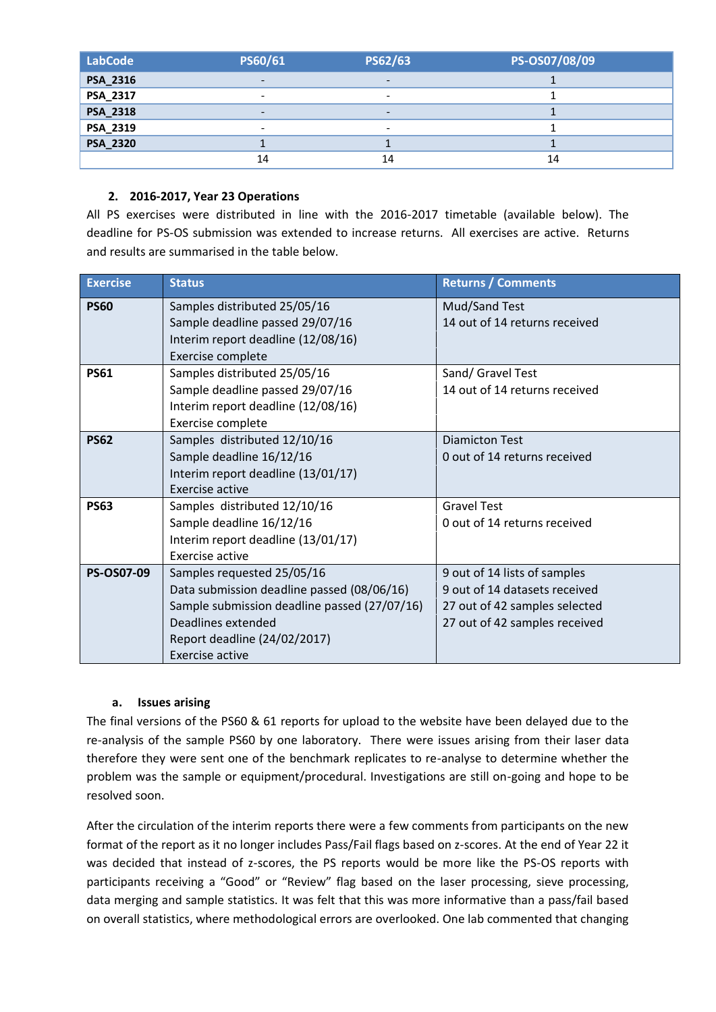| <b>LabCode</b>  | PS60/61                  | PS62/63                  | PS-OS07/08/09 |
|-----------------|--------------------------|--------------------------|---------------|
| <b>PSA_2316</b> | $\overline{\phantom{0}}$ | $\overline{\phantom{0}}$ |               |
| PSA_2317        | $\overline{\phantom{a}}$ | $\overline{\phantom{0}}$ |               |
| <b>PSA_2318</b> | $\overline{\phantom{0}}$ | $\overline{\phantom{0}}$ |               |
| PSA_2319        | $\overline{\phantom{a}}$ | $\overline{\phantom{0}}$ |               |
| <b>PSA_2320</b> |                          |                          |               |
|                 | 14                       | 14                       | 14            |

# **2. 2016-2017, Year 23 Operations**

All PS exercises were distributed in line with the 2016-2017 timetable (available below). The deadline for PS-OS submission was extended to increase returns. All exercises are active. Returns and results are summarised in the table below.

| <b>Exercise</b>   | <b>Status</b>                                | <b>Returns / Comments</b>     |
|-------------------|----------------------------------------------|-------------------------------|
| <b>PS60</b>       | Samples distributed 25/05/16                 | Mud/Sand Test                 |
|                   | Sample deadline passed 29/07/16              | 14 out of 14 returns received |
|                   | Interim report deadline (12/08/16)           |                               |
|                   | Exercise complete                            |                               |
| <b>PS61</b>       | Samples distributed 25/05/16                 | Sand/ Gravel Test             |
|                   | Sample deadline passed 29/07/16              | 14 out of 14 returns received |
|                   | Interim report deadline (12/08/16)           |                               |
|                   | Exercise complete                            |                               |
| <b>PS62</b>       | Samples distributed 12/10/16                 | <b>Diamicton Test</b>         |
|                   | Sample deadline 16/12/16                     | 0 out of 14 returns received  |
|                   | Interim report deadline (13/01/17)           |                               |
|                   | Exercise active                              |                               |
| <b>PS63</b>       | Samples distributed 12/10/16                 | <b>Gravel Test</b>            |
|                   | Sample deadline 16/12/16                     | 0 out of 14 returns received  |
|                   | Interim report deadline (13/01/17)           |                               |
|                   | Exercise active                              |                               |
| <b>PS-OS07-09</b> | Samples requested 25/05/16                   | 9 out of 14 lists of samples  |
|                   | Data submission deadline passed (08/06/16)   | 9 out of 14 datasets received |
|                   | Sample submission deadline passed (27/07/16) | 27 out of 42 samples selected |
|                   | Deadlines extended                           | 27 out of 42 samples received |
|                   | Report deadline (24/02/2017)                 |                               |
|                   | Exercise active                              |                               |

# **a. Issues arising**

The final versions of the PS60 & 61 reports for upload to the website have been delayed due to the re-analysis of the sample PS60 by one laboratory. There were issues arising from their laser data therefore they were sent one of the benchmark replicates to re-analyse to determine whether the problem was the sample or equipment/procedural. Investigations are still on-going and hope to be resolved soon.

After the circulation of the interim reports there were a few comments from participants on the new format of the report as it no longer includes Pass/Fail flags based on z-scores. At the end of Year 22 it was decided that instead of z-scores, the PS reports would be more like the PS-OS reports with participants receiving a "Good" or "Review" flag based on the laser processing, sieve processing, data merging and sample statistics. It was felt that this was more informative than a pass/fail based on overall statistics, where methodological errors are overlooked. One lab commented that changing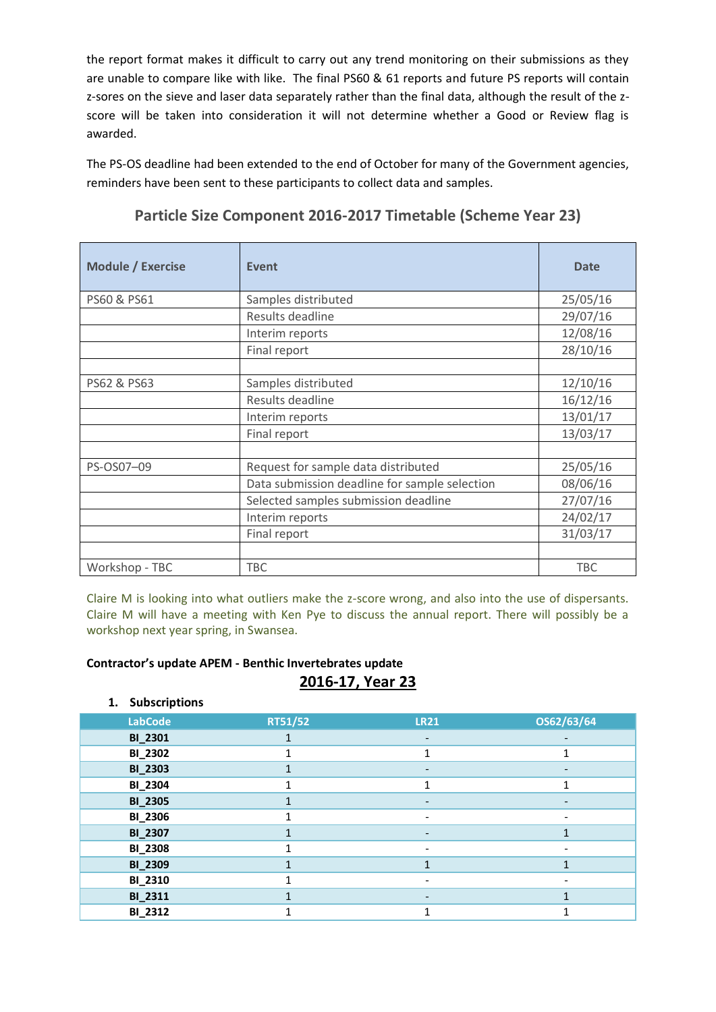the report format makes it difficult to carry out any trend monitoring on their submissions as they are unable to compare like with like. The final PS60 & 61 reports and future PS reports will contain z-sores on the sieve and laser data separately rather than the final data, although the result of the zscore will be taken into consideration it will not determine whether a Good or Review flag is awarded.

The PS-OS deadline had been extended to the end of October for many of the Government agencies, reminders have been sent to these participants to collect data and samples.

| <b>Module / Exercise</b> | <b>Event</b>                                  | <b>Date</b> |
|--------------------------|-----------------------------------------------|-------------|
| PS60 & PS61              | Samples distributed                           | 25/05/16    |
|                          | Results deadline                              | 29/07/16    |
|                          | Interim reports                               | 12/08/16    |
|                          | Final report                                  | 28/10/16    |
|                          |                                               |             |
| PS62 & PS63              | Samples distributed                           | 12/10/16    |
|                          | Results deadline                              | 16/12/16    |
|                          | Interim reports                               | 13/01/17    |
|                          | Final report                                  | 13/03/17    |
|                          |                                               |             |
| PS-OS07-09               | Request for sample data distributed           | 25/05/16    |
|                          | Data submission deadline for sample selection | 08/06/16    |
|                          | Selected samples submission deadline          | 27/07/16    |
|                          | Interim reports                               | 24/02/17    |
|                          | Final report                                  | 31/03/17    |
|                          |                                               |             |
| Workshop - TBC           | <b>TBC</b>                                    | TBC         |

**Particle Size Component 2016-2017 Timetable (Scheme Year 23)**

Claire M is looking into what outliers make the z-score wrong, and also into the use of dispersants. Claire M will have a meeting with Ken Pye to discuss the annual report. There will possibly be a workshop next year spring, in Swansea.

## **Contractor's update APEM - Benthic Invertebrates update**

# **2016-17, Year 23**

## **1. Subscriptions**

| <b>LabCode</b> | RT51/52 | <b>LR21</b>              | OS62/63/64               |
|----------------|---------|--------------------------|--------------------------|
| <b>BI_2301</b> |         | -                        | $\overline{\phantom{a}}$ |
| <b>BI_2302</b> |         | 1                        |                          |
| <b>BI_2303</b> |         |                          |                          |
| <b>BI_2304</b> |         | 1                        | 1                        |
| <b>BI_2305</b> |         |                          | -                        |
| <b>BI_2306</b> |         | $\overline{\phantom{a}}$ | $\overline{\phantom{a}}$ |
| <b>BI_2307</b> |         | $\overline{\phantom{a}}$ |                          |
| <b>BI_2308</b> |         |                          |                          |
| <b>BI_2309</b> |         | $\mathbf{1}$             |                          |
| <b>BI_2310</b> |         |                          |                          |
| <b>BI_2311</b> |         | $\overline{\phantom{a}}$ |                          |
| <b>BI_2312</b> |         | 1                        |                          |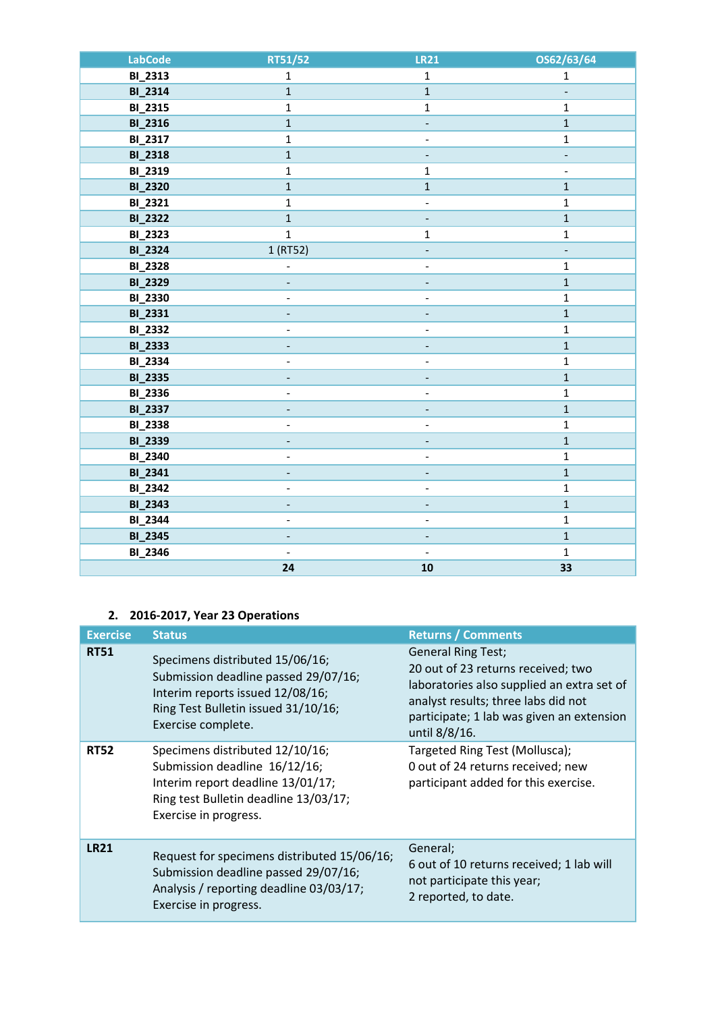| <b>LabCode</b> | RT51/52                  | <b>LR21</b>              | OS62/63/64     |
|----------------|--------------------------|--------------------------|----------------|
| <b>BI_2313</b> | $\mathbf{1}$             | $\mathbf{1}$             | $\mathbf{1}$   |
| <b>BI_2314</b> | $\mathbf{1}$             | $\mathbf 1$              | $\blacksquare$ |
| <b>BI_2315</b> | $\mathbf 1$              | $\mathbf 1$              | $\mathbf{1}$   |
| <b>BI_2316</b> | $\mathbf{1}$             | $\overline{\phantom{a}}$ | $\mathbf 1$    |
| <b>BI_2317</b> | $\mathbf{1}$             | $\blacksquare$           | $\mathbf{1}$   |
| <b>BI_2318</b> | $\mathbf{1}$             |                          | ÷              |
| <b>BI_2319</b> | $\mathbf 1$              | $\mathbf{1}$             | $\overline{a}$ |
| <b>BI_2320</b> | $\mathbf 1$              | $\mathbf 1$              | $\mathbf 1$    |
| <b>BI_2321</b> | $\mathbf{1}$             | $\overline{\phantom{a}}$ | $\mathbf{1}$   |
| <b>BI_2322</b> | $\mathbf{1}$             |                          | $\mathbf{1}$   |
| <b>BI_2323</b> | $\mathbf{1}$             | $\mathbf 1$              | $\mathbf{1}$   |
| <b>BI_2324</b> | 1 (RT52)                 |                          | ۰              |
| <b>BI_2328</b> | $\overline{a}$           | $\blacksquare$           | $\mathbf{1}$   |
| <b>BI_2329</b> |                          |                          | $\mathbf 1$    |
| <b>BI_2330</b> |                          | $\blacksquare$           | $\mathbf{1}$   |
| <b>BI_2331</b> |                          |                          | $\mathbf{1}$   |
| <b>BI_2332</b> | $\blacksquare$           | $\overline{a}$           | $\mathbf{1}$   |
| <b>BI_2333</b> |                          |                          | $\mathbf{1}$   |
| <b>BI_2334</b> |                          | $\overline{\phantom{0}}$ | $\mathbf 1$    |
| <b>BI_2335</b> |                          |                          | $\mathbf 1$    |
| <b>BI_2336</b> | $\frac{1}{2}$            | $\overline{\phantom{a}}$ | $\mathbf{1}$   |
| <b>BI_2337</b> | $\overline{\phantom{0}}$ |                          | $\mathbf{1}$   |
| <b>BI_2338</b> | $\overline{\phantom{0}}$ | $\overline{\phantom{a}}$ | $\mathbf 1$    |
| <b>BI_2339</b> |                          |                          | $\mathbf 1$    |
| <b>BI_2340</b> | $\frac{1}{2}$            | $\overline{\phantom{a}}$ | $\mathbf{1}$   |
| <b>BI_2341</b> | ÷,                       |                          | $\mathbf{1}$   |
| <b>BI_2342</b> | $\frac{1}{2}$            | $\overline{\phantom{a}}$ | $\mathbf 1$    |
| <b>BI_2343</b> | -                        | ÷                        | $\mathbf 1$    |
| <b>BI_2344</b> | $\overline{\phantom{0}}$ | $\blacksquare$           | $\mathbf 1$    |
| <b>BI_2345</b> | 4                        |                          | $\mathbf{1}$   |
| <b>BI_2346</b> | $\overline{\phantom{a}}$ | $\overline{\phantom{a}}$ | $\mathbf{1}$   |
|                | 24                       | ${\bf 10}$               | 33             |

# **2. 2016-2017, Year 23 Operations**

| <b>Exercise</b> | <b>Status</b>                                                                                                                                                            | <b>Returns / Comments</b>                                                                                                                                                                                          |
|-----------------|--------------------------------------------------------------------------------------------------------------------------------------------------------------------------|--------------------------------------------------------------------------------------------------------------------------------------------------------------------------------------------------------------------|
| <b>RT51</b>     | Specimens distributed 15/06/16;<br>Submission deadline passed 29/07/16;<br>Interim reports issued 12/08/16;<br>Ring Test Bulletin issued 31/10/16;<br>Exercise complete. | <b>General Ring Test;</b><br>20 out of 23 returns received; two<br>laboratories also supplied an extra set of<br>analyst results; three labs did not<br>participate; 1 lab was given an extension<br>until 8/8/16. |
| <b>RT52</b>     | Specimens distributed 12/10/16;<br>Submission deadline 16/12/16;<br>Interim report deadline 13/01/17;<br>Ring test Bulletin deadline 13/03/17;<br>Exercise in progress.  | Targeted Ring Test (Mollusca);<br>0 out of 24 returns received; new<br>participant added for this exercise.                                                                                                        |
| <b>LR21</b>     | Request for specimens distributed 15/06/16;<br>Submission deadline passed 29/07/16;<br>Analysis / reporting deadline 03/03/17;<br>Exercise in progress.                  | General;<br>6 out of 10 returns received; 1 lab will<br>not participate this year;<br>2 reported, to date.                                                                                                         |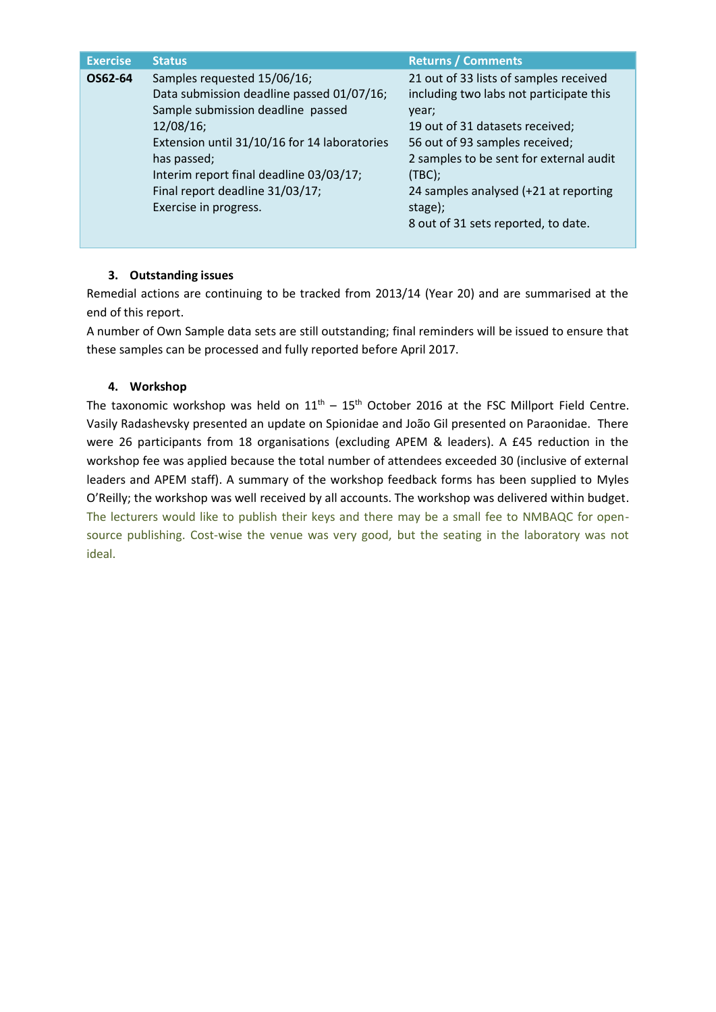| <b>Exercise</b> | <b>Status</b>                                                                                                                                                                                                                                                                                       | <b>Returns / Comments</b>                                                                                                                                                                                                                                                                                       |
|-----------------|-----------------------------------------------------------------------------------------------------------------------------------------------------------------------------------------------------------------------------------------------------------------------------------------------------|-----------------------------------------------------------------------------------------------------------------------------------------------------------------------------------------------------------------------------------------------------------------------------------------------------------------|
| OS62-64         | Samples requested 15/06/16;<br>Data submission deadline passed 01/07/16;<br>Sample submission deadline passed<br>$12/08/16$ ;<br>Extension until 31/10/16 for 14 laboratories<br>has passed;<br>Interim report final deadline 03/03/17;<br>Final report deadline 31/03/17;<br>Exercise in progress. | 21 out of 33 lists of samples received<br>including two labs not participate this<br>year;<br>19 out of 31 datasets received;<br>56 out of 93 samples received;<br>2 samples to be sent for external audit<br>(TBC);<br>24 samples analysed (+21 at reporting<br>stage);<br>8 out of 31 sets reported, to date. |
|                 |                                                                                                                                                                                                                                                                                                     |                                                                                                                                                                                                                                                                                                                 |

# **3. Outstanding issues**

Remedial actions are continuing to be tracked from 2013/14 (Year 20) and are summarised at the end of this report.

A number of Own Sample data sets are still outstanding; final reminders will be issued to ensure that these samples can be processed and fully reported before April 2017.

# **4. Workshop**

The taxonomic workshop was held on  $11<sup>th</sup> - 15<sup>th</sup>$  October 2016 at the FSC Millport Field Centre. Vasily Radashevsky presented an update on Spionidae and João Gil presented on Paraonidae. There were 26 participants from 18 organisations (excluding APEM & leaders). A £45 reduction in the workshop fee was applied because the total number of attendees exceeded 30 (inclusive of external leaders and APEM staff). A summary of the workshop feedback forms has been supplied to Myles O'Reilly; the workshop was well received by all accounts. The workshop was delivered within budget. The lecturers would like to publish their keys and there may be a small fee to NMBAQC for opensource publishing. Cost-wise the venue was very good, but the seating in the laboratory was not ideal.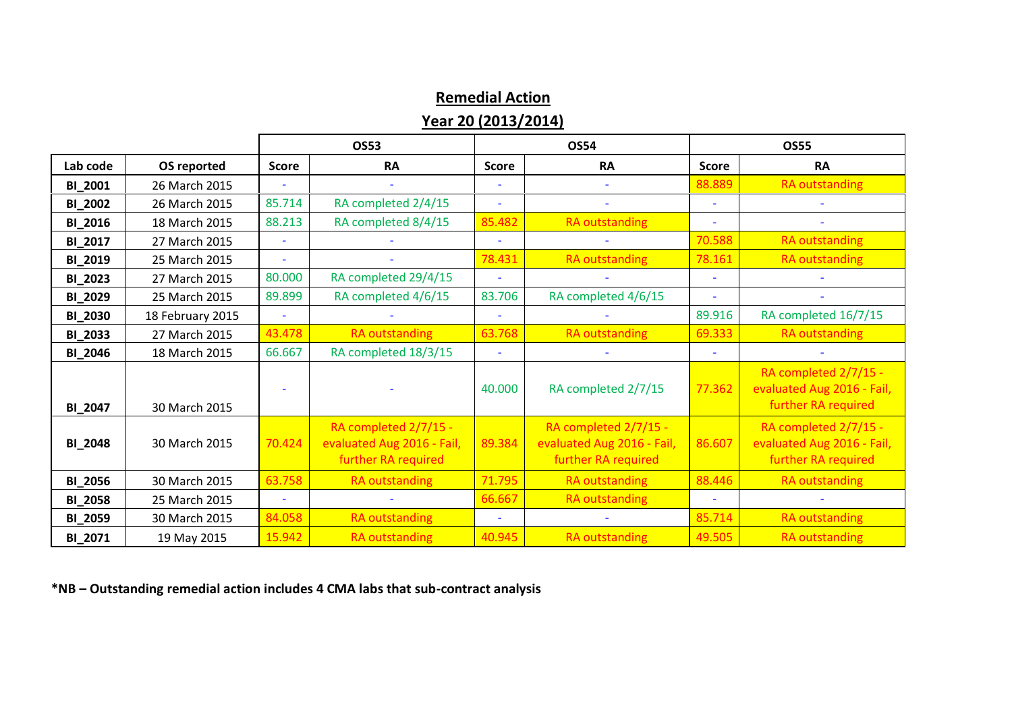# **Remedial Action Year 20 (2013/2014)**

|                |                  |              | <b>OS53</b>                                                                | <b>OS54</b>  |                                                                            | <b>OS55</b>              |                                                                            |
|----------------|------------------|--------------|----------------------------------------------------------------------------|--------------|----------------------------------------------------------------------------|--------------------------|----------------------------------------------------------------------------|
| Lab code       | OS reported      | <b>Score</b> | <b>RA</b>                                                                  | <b>Score</b> | <b>RA</b>                                                                  | <b>Score</b>             | <b>RA</b>                                                                  |
| <b>BI_2001</b> | 26 March 2015    |              |                                                                            |              |                                                                            | 88.889                   | <b>RA</b> outstanding                                                      |
| <b>BI_2002</b> | 26 March 2015    | 85.714       | RA completed 2/4/15                                                        |              |                                                                            | ٠                        |                                                                            |
| BI_2016        | 18 March 2015    | 88.213       | RA completed 8/4/15                                                        | 85.482       | <b>RA outstanding</b>                                                      | $\blacksquare$           |                                                                            |
| <b>BI_2017</b> | 27 March 2015    |              |                                                                            |              |                                                                            | 70.588                   | RA outstanding                                                             |
| BI_2019        | 25 March 2015    | $\sim$       |                                                                            | 78.431       | <b>RA</b> outstanding                                                      | 78.161                   | RA outstanding                                                             |
| <b>BI_2023</b> | 27 March 2015    | 80.000       | RA completed 29/4/15                                                       |              |                                                                            | ٠                        |                                                                            |
| <b>BI_2029</b> | 25 March 2015    | 89.899       | RA completed 4/6/15                                                        | 83.706       | RA completed 4/6/15                                                        | $\overline{\phantom{a}}$ |                                                                            |
| <b>BI_2030</b> | 18 February 2015 |              |                                                                            |              |                                                                            | 89.916                   | RA completed 16/7/15                                                       |
| <b>BI_2033</b> | 27 March 2015    | 43.478       | <b>RA</b> outstanding                                                      | 63.768       | <b>RA outstanding</b>                                                      | 69.333                   | <b>RA outstanding</b>                                                      |
| <b>BI_2046</b> | 18 March 2015    | 66.667       | RA completed 18/3/15                                                       |              |                                                                            |                          |                                                                            |
| BI_2047        | 30 March 2015    |              |                                                                            | 40.000       | RA completed 2/7/15                                                        | 77.362                   | RA completed 2/7/15 -<br>evaluated Aug 2016 - Fail,<br>further RA required |
| <b>BI_2048</b> | 30 March 2015    | 70.424       | RA completed 2/7/15 -<br>evaluated Aug 2016 - Fail,<br>further RA required | 89.384       | RA completed 2/7/15 -<br>evaluated Aug 2016 - Fail,<br>further RA required | 86.607                   | RA completed 2/7/15 -<br>evaluated Aug 2016 - Fail,<br>further RA required |
| <b>BI_2056</b> | 30 March 2015    | 63.758       | <b>RA</b> outstanding                                                      | 71.795       | <b>RA outstanding</b>                                                      | 88.446                   | <b>RA outstanding</b>                                                      |
| <b>BI_2058</b> | 25 March 2015    |              |                                                                            | 66.667       | <b>RA outstanding</b>                                                      | ٠                        |                                                                            |
| <b>BI_2059</b> | 30 March 2015    | 84.058       | <b>RA</b> outstanding                                                      | $\sim$       |                                                                            | 85.714                   | <b>RA outstanding</b>                                                      |
| BI_2071        | 19 May 2015      | 15.942       | <b>RA</b> outstanding                                                      | 40.945       | <b>RA</b> outstanding                                                      | 49.505                   | <b>RA</b> outstanding                                                      |

**\*NB – Outstanding remedial action includes 4 CMA labs that sub-contract analysis**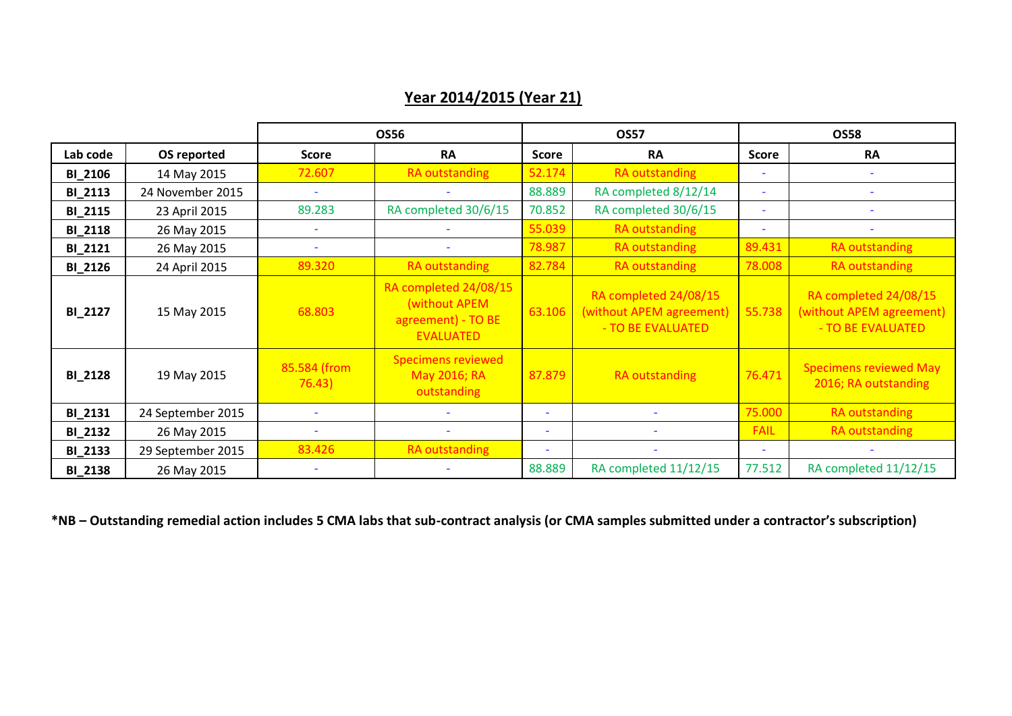# **Year 2014/2015 (Year 21)**

|                |                   |                          | <b>OS56</b>                                                                      | <b>OS57</b>              |                                                                        | <b>OS58</b>  |                                                                        |
|----------------|-------------------|--------------------------|----------------------------------------------------------------------------------|--------------------------|------------------------------------------------------------------------|--------------|------------------------------------------------------------------------|
| Lab code       | OS reported       | <b>Score</b>             | <b>RA</b>                                                                        | <b>Score</b>             | <b>RA</b>                                                              | <b>Score</b> | <b>RA</b>                                                              |
| <b>BI_2106</b> | 14 May 2015       | 72.607                   | RA outstanding                                                                   | 52.174                   | <b>RA outstanding</b>                                                  |              |                                                                        |
| <b>BI_2113</b> | 24 November 2015  |                          |                                                                                  | 88.889                   | RA completed 8/12/14                                                   | $\sim$       |                                                                        |
| <b>BI_2115</b> | 23 April 2015     | 89.283                   | RA completed 30/6/15                                                             | 70.852                   | RA completed 30/6/15                                                   | $\sim$       |                                                                        |
| <b>BI_2118</b> | 26 May 2015       |                          |                                                                                  | 55.039                   | RA outstanding                                                         | $\sim$       |                                                                        |
| <b>BI_2121</b> | 26 May 2015       | $\overline{\phantom{a}}$ | $\overline{\phantom{a}}$                                                         | 78.987                   | <b>RA outstanding</b>                                                  | 89.431       | RA outstanding                                                         |
| <b>BI_2126</b> | 24 April 2015     | 89.320                   | <b>RA</b> outstanding                                                            | 82.784                   | RA outstanding                                                         | 78.008       | RA outstanding                                                         |
| <b>BI_2127</b> | 15 May 2015       | 68.803                   | RA completed 24/08/15<br>(without APEM<br>agreement) - TO BE<br><b>EVALUATED</b> | 63.106                   | RA completed 24/08/15<br>(without APEM agreement)<br>- TO BE EVALUATED | 55.738       | RA completed 24/08/15<br>(without APEM agreement)<br>- TO BE EVALUATED |
| <b>BI_2128</b> | 19 May 2015       | 85.584 (from<br>76.43)   | <b>Specimens reviewed</b><br>May 2016; RA<br>outstanding                         | 87.879                   | <b>RA outstanding</b>                                                  | 76.471       | <b>Specimens reviewed May</b><br>2016; RA outstanding                  |
| <b>BI_2131</b> | 24 September 2015 |                          |                                                                                  | $\overline{\phantom{a}}$ |                                                                        | 75.000       | RA outstanding                                                         |
| <b>BI_2132</b> | 26 May 2015       |                          |                                                                                  | $\overline{\phantom{a}}$ |                                                                        | <b>FAIL</b>  | RA outstanding                                                         |
| <b>BI_2133</b> | 29 September 2015 | 83.426                   | RA outstanding                                                                   | $\overline{\phantom{a}}$ |                                                                        |              |                                                                        |
| <b>BI_2138</b> | 26 May 2015       |                          |                                                                                  | 88.889                   | RA completed 11/12/15                                                  | 77.512       | RA completed 11/12/15                                                  |

**\*NB – Outstanding remedial action includes 5 CMA labs that sub-contract analysis (or CMA samples submitted under a contractor's subscription)**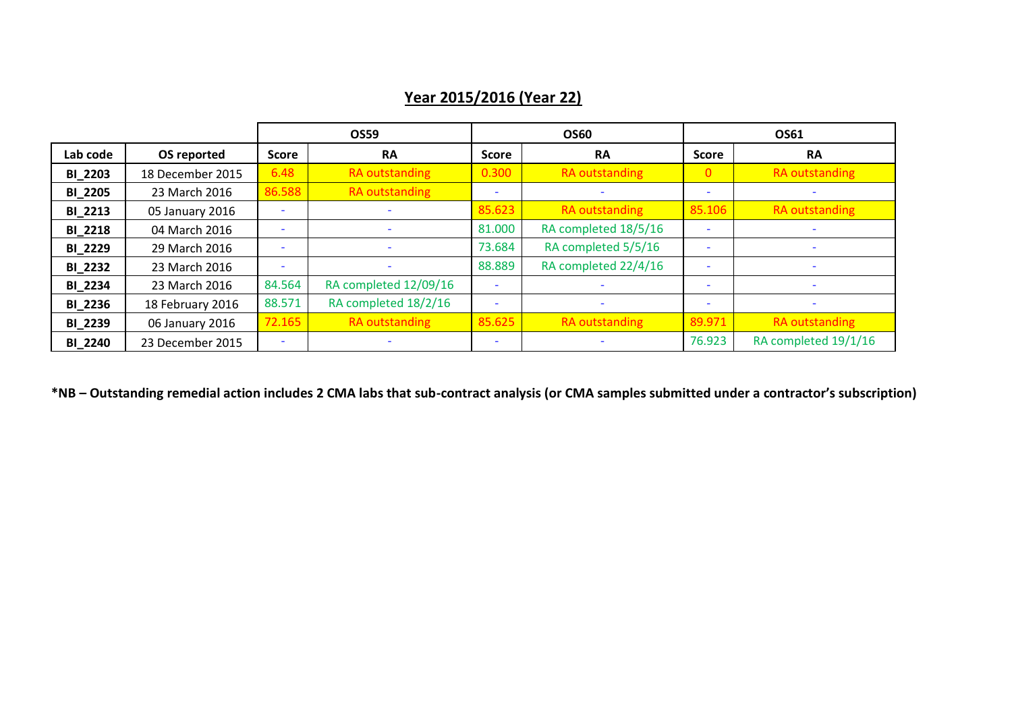# **OS59 OS60 OS61 Lab code OS reported Score RA Score RA Score RA BI** 2203 18 December 2015 6.48 RA outstanding 0.300 RA outstanding 0 RA outstanding **BI\_2205** 23 March 2016 86.588 RA outstanding - - - - **BI\_2213** 05 January 2016 - - 85.623 RA outstanding 85.106 RA outstanding **BI\_2218** 04 March 2016 - - 81.000 RA completed 18/5/16 - - **BI\_2229** 29 March 2016 - - 73.684 RA completed 5/5/16 - -

**BI** 2232 23 March 2016 - - 88.889 RA completed 22/4/16 - - -**BI\_2234** 23 March 2016 84.564 RA completed 12/09/16 - - - - **BI\_2236** 18 February 2016 88.571 RA completed 18/2/16 - - - -

**BI\_2239** 06 January 2016 <mark>72.165 RA outstanding 85.625 RA outstanding 89.971 RA outstanding</mark> **BI\_2240** 23 December 2015 - | - | - | - | - | 76.923 RA completed 19/1/16

**\*NB – Outstanding remedial action includes 2 CMA labs that sub-contract analysis (or CMA samples submitted under a contractor's subscription)**

# **Year 2015/2016 (Year 22)**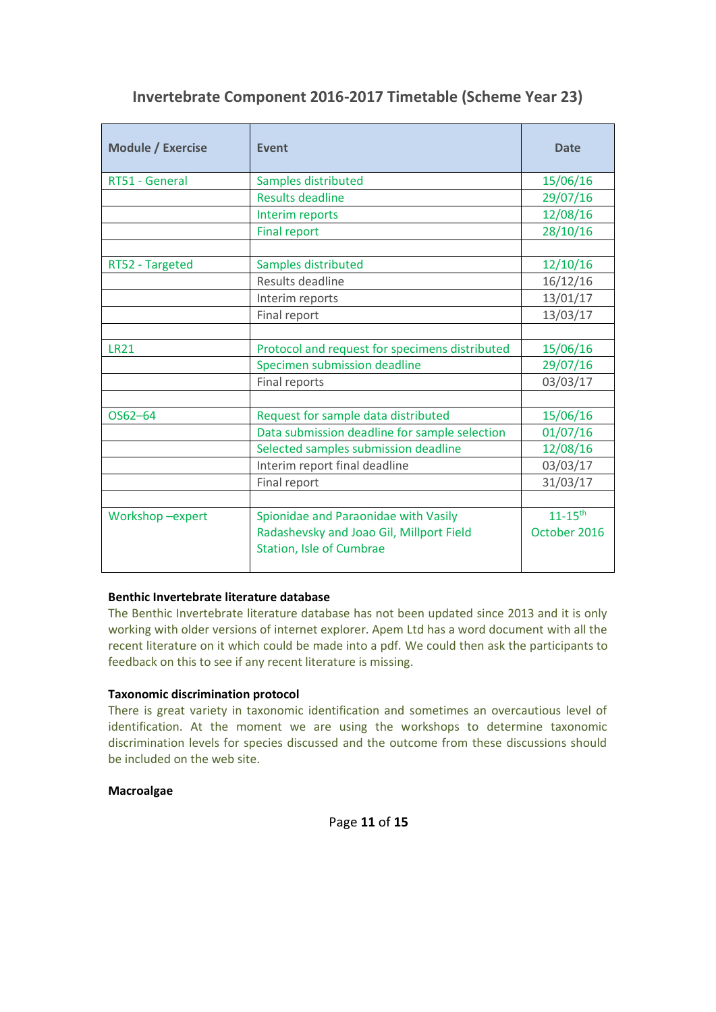| Invertebrate Component 2016-2017 Timetable (Scheme Year 23) |  |  |
|-------------------------------------------------------------|--|--|
|-------------------------------------------------------------|--|--|

| <b>Date</b>                                    |
|------------------------------------------------|
| 15/06/16                                       |
| 29/07/16                                       |
| 12/08/16                                       |
| 28/10/16                                       |
|                                                |
| 12/10/16                                       |
| 16/12/16                                       |
| 13/01/17                                       |
| 13/03/17                                       |
|                                                |
| 15/06/16                                       |
| 29/07/16                                       |
| 03/03/17                                       |
|                                                |
| 15/06/16                                       |
| 01/07/16                                       |
| 12/08/16                                       |
| 03/03/17                                       |
| 31/03/17                                       |
|                                                |
| $11 - 15$ <sup>th</sup><br>October 2016        |
| Protocol and request for specimens distributed |

# **Benthic Invertebrate literature database**

The Benthic Invertebrate literature database has not been updated since 2013 and it is only working with older versions of internet explorer. Apem Ltd has a word document with all the recent literature on it which could be made into a pdf. We could then ask the participants to feedback on this to see if any recent literature is missing.

# **Taxonomic discrimination protocol**

There is great variety in taxonomic identification and sometimes an overcautious level of identification. At the moment we are using the workshops to determine taxonomic discrimination levels for species discussed and the outcome from these discussions should be included on the web site.

# **Macroalgae**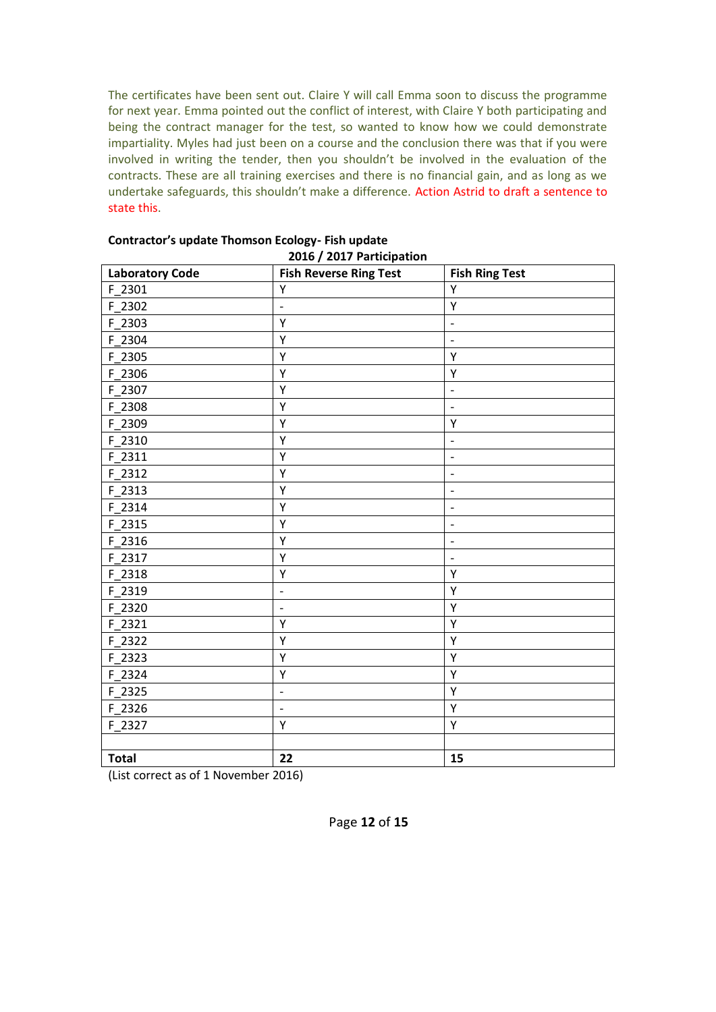The certificates have been sent out. Claire Y will call Emma soon to discuss the programme for next year. Emma pointed out the conflict of interest, with Claire Y both participating and being the contract manager for the test, so wanted to know how we could demonstrate impartiality. Myles had just been on a course and the conclusion there was that if you were involved in writing the tender, then you shouldn't be involved in the evaluation of the contracts. These are all training exercises and there is no financial gain, and as long as we undertake safeguards, this shouldn't make a difference. Action Astrid to draft a sentence to state this.

| <b>Laboratory Code</b> | 2010 / 2017 Farticipation<br><b>Fish Reverse Ring Test</b> | <b>Fish Ring Test</b>        |
|------------------------|------------------------------------------------------------|------------------------------|
| F 2301                 | Υ                                                          | Y                            |
| F 2302                 | $\overline{\phantom{0}}$                                   | Υ                            |
| F 2303                 | Υ                                                          | -                            |
| F_2304                 | Υ                                                          | $\overline{a}$               |
| F 2305                 | Υ                                                          | Y                            |
| F_2306                 | Υ                                                          | Υ                            |
| F_2307                 | Υ                                                          | $\overline{\phantom{a}}$     |
| F_2308                 | Υ                                                          | $\qquad \qquad \blacksquare$ |
| F 2309                 | Υ                                                          | Υ                            |
| F 2310                 | Υ                                                          | $\overline{a}$               |
| F 2311                 | Υ                                                          | $\qquad \qquad \blacksquare$ |
| F 2312                 | Υ                                                          | $\overline{a}$               |
| F 2313                 | Υ                                                          | $\overline{\phantom{0}}$     |
| F 2314                 | Υ                                                          | $\qquad \qquad -$            |
| $F_2315$               | Υ                                                          | $\qquad \qquad -$            |
| F 2316                 | Υ                                                          | $\overline{\phantom{a}}$     |
| F 2317                 | Υ                                                          | $\qquad \qquad \blacksquare$ |
| F 2318                 | Υ                                                          | Υ                            |
| F 2319                 | $\overline{a}$                                             | Υ                            |
| F 2320                 | $\qquad \qquad -$                                          | Υ                            |
| F 2321                 | Υ                                                          | Υ                            |
| F 2322                 | Υ                                                          | Υ                            |
| $F_2323$               | Υ                                                          | Υ                            |
| F_2324                 | Υ                                                          | Y                            |
| F 2325                 | $\overline{\phantom{m}}$                                   | Y                            |
| $F_2326$               | $\frac{1}{2}$                                              | Υ                            |
| F 2327                 | Υ                                                          | Υ                            |
|                        |                                                            |                              |
| <b>Total</b>           | 22                                                         | 15                           |

#### **Contractor's update Thomson Ecology- Fish update 2016 / 2017 Participation**

(List correct as of 1 November 2016)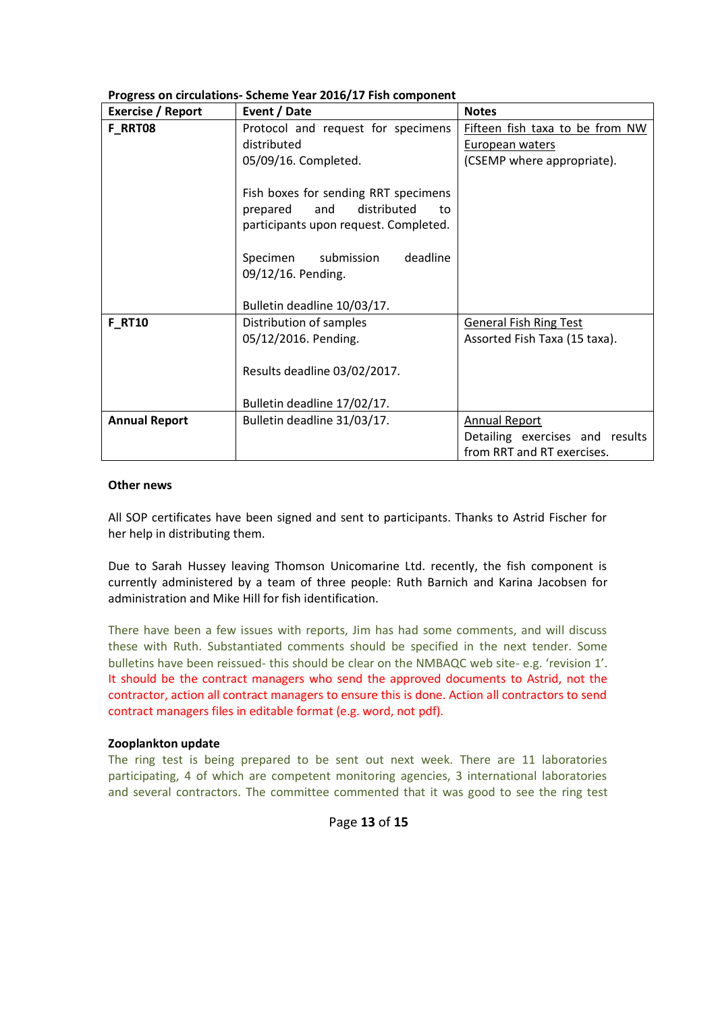| Exercise / Report                             | Event / Date                                                                                                                                                                                                  | <b>Notes</b>                    |
|-----------------------------------------------|---------------------------------------------------------------------------------------------------------------------------------------------------------------------------------------------------------------|---------------------------------|
| F_RRT08<br>Protocol and request for specimens |                                                                                                                                                                                                               | Fifteen fish taxa to be from NW |
|                                               | distributed                                                                                                                                                                                                   | European waters                 |
|                                               | 05/09/16. Completed.                                                                                                                                                                                          | (CSEMP where appropriate).      |
|                                               | Fish boxes for sending RRT specimens<br>distributed<br>prepared<br>and<br>to<br>participants upon request. Completed.<br>deadline<br>Specimen submission<br>09/12/16. Pending.<br>Bulletin deadline 10/03/17. |                                 |
| <b>F RT10</b>                                 | Distribution of samples                                                                                                                                                                                       | <b>General Fish Ring Test</b>   |
|                                               | 05/12/2016. Pending.                                                                                                                                                                                          | Assorted Fish Taxa (15 taxa).   |
|                                               | Results deadline 03/02/2017.<br>Bulletin deadline 17/02/17.                                                                                                                                                   |                                 |
|                                               | Bulletin deadline 31/03/17.                                                                                                                                                                                   |                                 |
| <b>Annual Report</b>                          |                                                                                                                                                                                                               | <b>Annual Report</b>            |
|                                               |                                                                                                                                                                                                               | Detailing exercises and results |
|                                               |                                                                                                                                                                                                               | from RRT and RT exercises.      |

## **Progress on circulations- Scheme Year 2016/17 Fish component**

### **Other news**

All SOP certificates have been signed and sent to participants. Thanks to Astrid Fischer for her help in distributing them.

Due to Sarah Hussey leaving Thomson Unicomarine Ltd. recently, the fish component is currently administered by a team of three people: Ruth Barnich and Karina Jacobsen for administration and Mike Hill for fish identification.

There have been a few issues with reports, Jim has had some comments, and will discuss these with Ruth. Substantiated comments should be specified in the next tender. Some bulletins have been reissued- this should be clear on the NMBAQC web site- e.g. 'revision 1'. It should be the contract managers who send the approved documents to Astrid, not the contractor, action all contract managers to ensure this is done. Action all contractors to send contract managers files in editable format (e.g. word, not pdf).

## **Zooplankton update**

The ring test is being prepared to be sent out next week. There are 11 laboratories participating, 4 of which are competent monitoring agencies, 3 international laboratories and several contractors. The committee commented that it was good to see the ring test

## Page **13** of **15**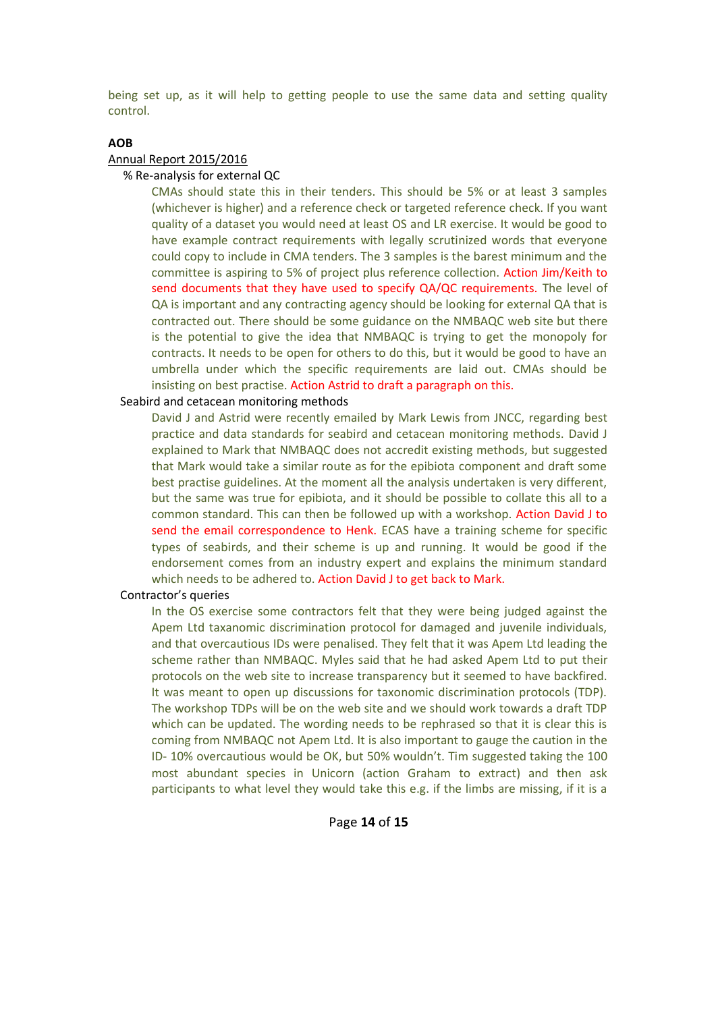being set up, as it will help to getting people to use the same data and setting quality control.

## **AOB**

### Annual Report 2015/2016

#### % Re-analysis for external QC

CMAs should state this in their tenders. This should be 5% or at least 3 samples (whichever is higher) and a reference check or targeted reference check. If you want quality of a dataset you would need at least OS and LR exercise. It would be good to have example contract requirements with legally scrutinized words that everyone could copy to include in CMA tenders. The 3 samples is the barest minimum and the committee is aspiring to 5% of project plus reference collection. Action Jim/Keith to send documents that they have used to specify QA/QC requirements. The level of QA is important and any contracting agency should be looking for external QA that is contracted out. There should be some guidance on the NMBAQC web site but there is the potential to give the idea that NMBAQC is trying to get the monopoly for contracts. It needs to be open for others to do this, but it would be good to have an umbrella under which the specific requirements are laid out. CMAs should be insisting on best practise. Action Astrid to draft a paragraph on this.

### Seabird and cetacean monitoring methods

David J and Astrid were recently emailed by Mark Lewis from JNCC, regarding best practice and data standards for seabird and cetacean monitoring methods. David J explained to Mark that NMBAQC does not accredit existing methods, but suggested that Mark would take a similar route as for the epibiota component and draft some best practise guidelines. At the moment all the analysis undertaken is very different, but the same was true for epibiota, and it should be possible to collate this all to a common standard. This can then be followed up with a workshop. Action David J to send the email correspondence to Henk. ECAS have a training scheme for specific types of seabirds, and their scheme is up and running. It would be good if the endorsement comes from an industry expert and explains the minimum standard which needs to be adhered to. Action David J to get back to Mark.

#### Contractor's queries

In the OS exercise some contractors felt that they were being judged against the Apem Ltd taxanomic discrimination protocol for damaged and juvenile individuals, and that overcautious IDs were penalised. They felt that it was Apem Ltd leading the scheme rather than NMBAQC. Myles said that he had asked Apem Ltd to put their protocols on the web site to increase transparency but it seemed to have backfired. It was meant to open up discussions for taxonomic discrimination protocols (TDP). The workshop TDPs will be on the web site and we should work towards a draft TDP which can be updated. The wording needs to be rephrased so that it is clear this is coming from NMBAQC not Apem Ltd. It is also important to gauge the caution in the ID- 10% overcautious would be OK, but 50% wouldn't. Tim suggested taking the 100 most abundant species in Unicorn (action Graham to extract) and then ask participants to what level they would take this e.g. if the limbs are missing, if it is a